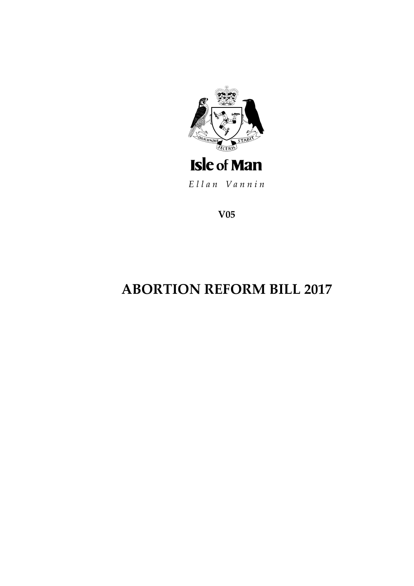

Ellan Vannin

**V05**

# **ABORTION REFORM BILL 2017**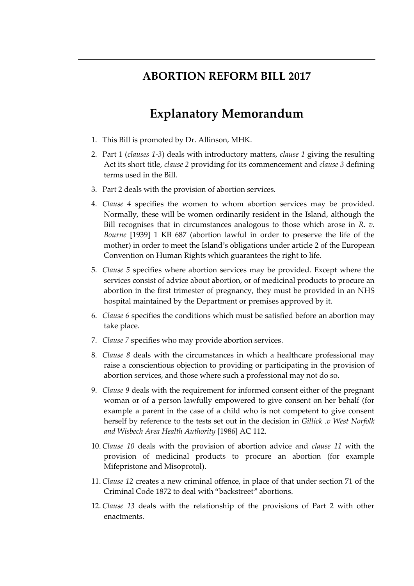## **ABORTION REFORM BILL 2017**

## **Explanatory Memorandum**

- 1. This Bill is promoted by Dr. Allinson, MHK.
- 2. Part 1 (*clauses 1-3*) deals with introductory matters, *clause 1* giving the resulting Act its short title, *clause 2* providing for its commencement and *clause 3* defining terms used in the Bill.
- 3. Part 2 deals with the provision of abortion services.
- 4. *Clause 4* specifies the women to whom abortion services may be provided. Normally, these will be women ordinarily resident in the Island, although the Bill recognises that in circumstances analogous to those which arose in *R. v. Bourne* [1939] 1 KB 687 (abortion lawful in order to preserve the life of the mother) in order to meet the Island's obligations under article 2 of the European Convention on Human Rights which guarantees the right to life.
- 5. *Clause 5* specifies where abortion services may be provided. Except where the services consist of advice about abortion, or of medicinal products to procure an abortion in the first trimester of pregnancy, they must be provided in an NHS hospital maintained by the Department or premises approved by it.
- 6. *Clause 6* specifies the conditions which must be satisfied before an abortion may take place.
- 7. *Clause 7* specifies who may provide abortion services.
- 8. *Clause 8* deals with the circumstances in which a healthcare professional may raise a conscientious objection to providing or participating in the provision of abortion services, and those where such a professional may not do so.
- 9. *Clause 9* deals with the requirement for informed consent either of the pregnant woman or of a person lawfully empowered to give consent on her behalf (for example a parent in the case of a child who is not competent to give consent herself by reference to the tests set out in the decision in *Gillick .v West Norfolk and Wisbech Area Health Authority* [1986] AC 112.
- 10. *Clause 10* deals with the provision of abortion advice and *clause 11* with the provision of medicinal products to procure an abortion (for example Mifepristone and Misoprotol).
- 11. *Clause 12* creates a new criminal offence, in place of that under section 71 of the Criminal Code 1872 to deal with "backstreet" abortions.
- 12. *Clause 13* deals with the relationship of the provisions of Part 2 with other enactments.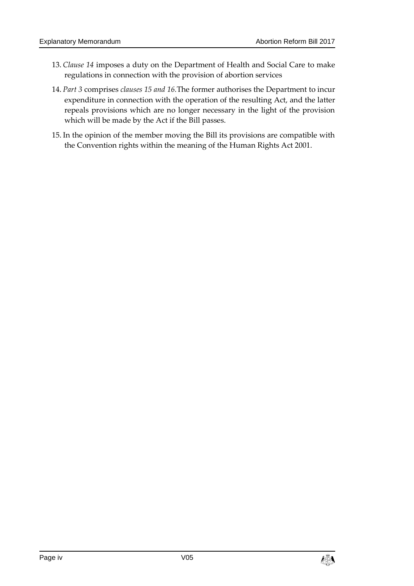- 13. *Clause 14* imposes a duty on the Department of Health and Social Care to make regulations in connection with the provision of abortion services
- 14. *Part 3* comprises *clauses 15 and 16.*The former authorises the Department to incur expenditure in connection with the operation of the resulting Act, and the latter repeals provisions which are no longer necessary in the light of the provision which will be made by the Act if the Bill passes.
- 15. In the opinion of the member moving the Bill its provisions are compatible with the Convention rights within the meaning of the Human Rights Act 2001.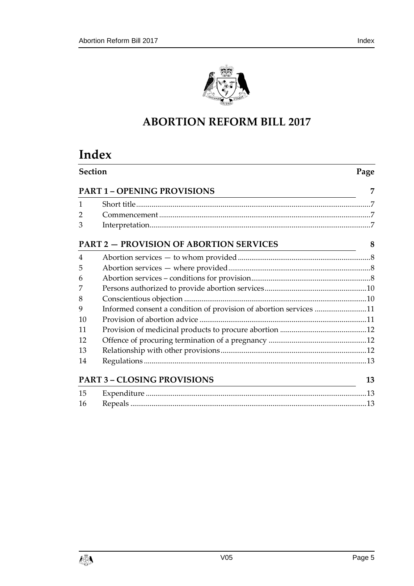

## **ABORTION REFORM BILL 2017**

## **Index**

| <b>Section</b><br><b>PART 1 - OPENING PROVISIONS</b><br><u> 1989 - Andrea Barbara, Amerikaansk politiker (d. 1989)</u> |                                                                   | Page |
|------------------------------------------------------------------------------------------------------------------------|-------------------------------------------------------------------|------|
|                                                                                                                        |                                                                   | 7    |
| $\mathbf{1}$                                                                                                           |                                                                   |      |
| 2                                                                                                                      |                                                                   |      |
| 3                                                                                                                      |                                                                   |      |
|                                                                                                                        | <b>PART 2 - PROVISION OF ABORTION SERVICES</b>                    | 8    |
| 4                                                                                                                      |                                                                   |      |
| 5                                                                                                                      |                                                                   |      |
| 6                                                                                                                      |                                                                   |      |
| 7                                                                                                                      |                                                                   |      |
| 8                                                                                                                      |                                                                   |      |
| 9                                                                                                                      | Informed consent a condition of provision of abortion services 11 |      |
| 10                                                                                                                     |                                                                   |      |
| 11                                                                                                                     |                                                                   |      |
| 12                                                                                                                     |                                                                   |      |
| 13                                                                                                                     |                                                                   |      |
| 14                                                                                                                     |                                                                   |      |
|                                                                                                                        | <b>PART 3 - CLOSING PROVISIONS</b>                                | 13   |
| 15                                                                                                                     |                                                                   |      |
| 16                                                                                                                     |                                                                   |      |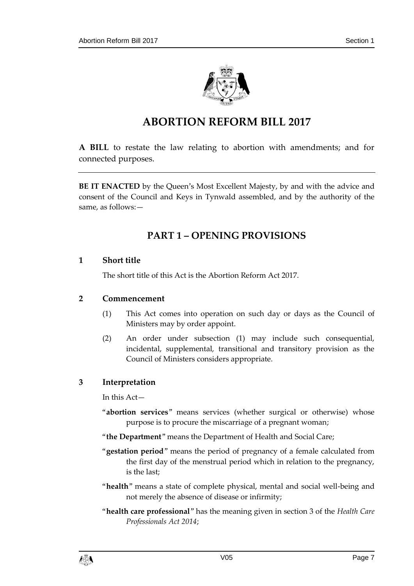

## **ABORTION REFORM BILL 2017**

**A BILL** to restate the law relating to abortion with amendments; and for connected purposes.

<span id="page-6-0"></span>**BE IT ENACTED** by the Queen's Most Excellent Majesty, by and with the advice and consent of the Council and Keys in Tynwald assembled, and by the authority of the same, as follows:—

### **PART 1 – OPENING PROVISIONS**

#### <span id="page-6-1"></span>**1 Short title**

The short title of this Act is the Abortion Reform Act 2017.

#### <span id="page-6-2"></span>**2 Commencement**

- (1) This Act comes into operation on such day or days as the Council of Ministers may by order appoint.
- (2) An order under subsection (1) may include such consequential, incidental, supplemental, transitional and transitory provision as the Council of Ministers considers appropriate.

#### <span id="page-6-3"></span>**3 Interpretation**

In this Act—

- "**abortion services**" means services (whether surgical or otherwise) whose purpose is to procure the miscarriage of a pregnant woman;
- "**the Department**" means the Department of Health and Social Care;
- "**gestation period**" means the period of pregnancy of a female calculated from the first day of the menstrual period which in relation to the pregnancy, is the last;
- "**health**" means a state of complete physical, mental and social well-being and not merely the absence of disease or infirmity;
- "**health care professional**" has the meaning given in section 3 of the *Health Care Professionals Act 2014*;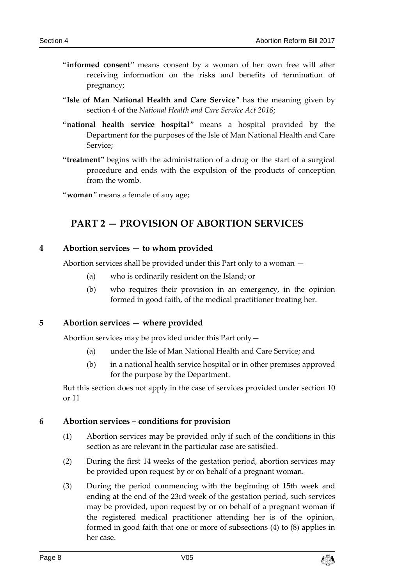- "**informed consent**" means consent by a woman of her own free will after receiving information on the risks and benefits of termination of pregnancy;
- "**Isle of Man National Health and Care Service**" has the meaning given by section 4 of the *National Health and Care Service Act 2016*;
- "**national health service hospital**" means a hospital provided by the Department for the purposes of the Isle of Man National Health and Care Service;
- **"treatment"** begins with the administration of a drug or the start of a surgical procedure and ends with the expulsion of the products of conception from the womb.

<span id="page-7-0"></span>"**woman**" means a female of any age;

### **PART 2 — PROVISION OF ABORTION SERVICES**

#### <span id="page-7-1"></span>**4 Abortion services — to whom provided**

Abortion services shall be provided under this Part only to a woman —

- (a) who is ordinarily resident on the Island; or
- (b) who requires their provision in an emergency, in the opinion formed in good faith, of the medical practitioner treating her.

#### <span id="page-7-2"></span>**5 Abortion services — where provided**

Abortion services may be provided under this Part only—

- (a) under the Isle of Man National Health and Care Service; and
- (b) in a national health service hospital or in other premises approved for the purpose by the Department.

But this section does not apply in the case of services provided under section [10](#page-10-1) or [11](#page-11-0)

#### <span id="page-7-3"></span>**6 Abortion services – conditions for provision**

- (1) Abortion services may be provided only if such of the conditions in this section as are relevant in the particular case are satisfied.
- (2) During the first 14 weeks of the gestation period, abortion services may be provided upon request by or on behalf of a pregnant woman.
- (3) During the period commencing with the beginning of 15th week and ending at the end of the 23rd week of the gestation period, such services may be provided, upon request by or on behalf of a pregnant woman if the registered medical practitioner attending her is of the opinion, formed in good faith that one or more of subsections (4) to (8) applies in her case.

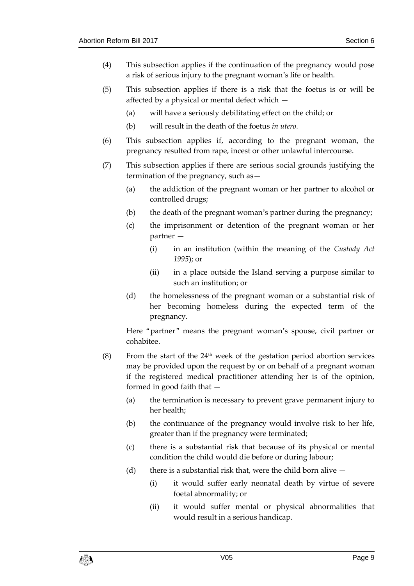- (4) This subsection applies if the continuation of the pregnancy would pose a risk of serious injury to the pregnant woman's life or health.
- (5) This subsection applies if there is a risk that the foetus is or will be affected by a physical or mental defect which —
	- (a) will have a seriously debilitating effect on the child; or
	- (b) will result in the death of the foetus *in utero.*
- (6) This subsection applies if, according to the pregnant woman, the pregnancy resulted from rape, incest or other unlawful intercourse.
- (7) This subsection applies if there are serious social grounds justifying the termination of the pregnancy, such as—
	- (a) the addiction of the pregnant woman or her partner to alcohol or controlled drugs;
	- (b) the death of the pregnant woman's partner during the pregnancy;
	- (c) the imprisonment or detention of the pregnant woman or her partner —
		- (i) in an institution (within the meaning of the *Custody Act 1995*); or
		- (ii) in a place outside the Island serving a purpose similar to such an institution; or
	- (d) the homelessness of the pregnant woman or a substantial risk of her becoming homeless during the expected term of the pregnancy.

Here "partner" means the pregnant woman's spouse, civil partner or cohabitee.

- (8) From the start of the  $24<sup>th</sup>$  week of the gestation period abortion services may be provided upon the request by or on behalf of a pregnant woman if the registered medical practitioner attending her is of the opinion, formed in good faith that —
	- (a) the termination is necessary to prevent grave permanent injury to her health;
	- (b) the continuance of the pregnancy would involve risk to her life, greater than if the pregnancy were terminated;
	- (c) there is a substantial risk that because of its physical or mental condition the child would die before or during labour;
	- (d) there is a substantial risk that, were the child born alive  $-$ 
		- (i) it would suffer early neonatal death by virtue of severe foetal abnormality; or
		- (ii) it would suffer mental or physical abnormalities that would result in a serious handicap.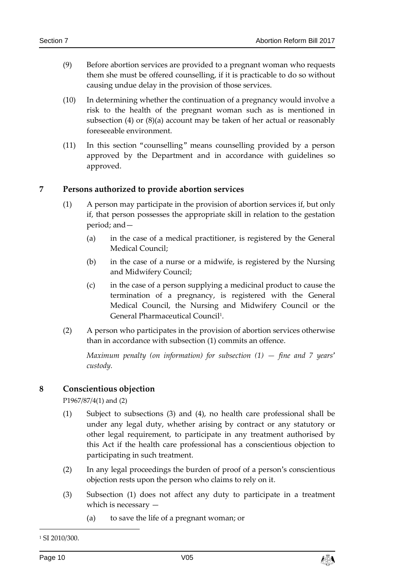- (9) Before abortion services are provided to a pregnant woman who requests them she must be offered counselling, if it is practicable to do so without causing undue delay in the provision of those services.
- (10) In determining whether the continuation of a pregnancy would involve a risk to the health of the pregnant woman such as is mentioned in subsection (4) or (8)(a) account may be taken of her actual or reasonably foreseeable environment.
- (11) In this section "counselling" means counselling provided by a person approved by the Department and in accordance with guidelines so approved.

#### <span id="page-9-0"></span>**7 Persons authorized to provide abortion services**

- (1) A person may participate in the provision of abortion services if, but only if, that person possesses the appropriate skill in relation to the gestation period; and—
	- (a) in the case of a medical practitioner, is registered by the General Medical Council;
	- (b) in the case of a nurse or a midwife, is registered by the Nursing and Midwifery Council;
	- (c) in the case of a person supplying a medicinal product to cause the termination of a pregnancy, is registered with the General Medical Council, the Nursing and Midwifery Council or the General Pharmaceutical Council<sup>1</sup>.
- (2) A person who participates in the provision of abortion services otherwise than in accordance with subsection (1) commits an offence.

*Maximum penalty (on information) for subsection (1) — fine and 7 years' custody.*

#### <span id="page-9-1"></span>**8 Conscientious objection**

P1967/87/4(1) and (2)

- (1) Subject to subsections (3) and (4), no health care professional shall be under any legal duty, whether arising by contract or any statutory or other legal requirement, to participate in any treatment authorised by this Act if the health care professional has a conscientious objection to participating in such treatment.
- (2) In any legal proceedings the burden of proof of a person's conscientious objection rests upon the person who claims to rely on it.
- (3) Subsection (1) does not affect any duty to participate in a treatment which is necessary —
	- (a) to save the life of a pregnant woman; or

-



<sup>1</sup> SI 2010/300.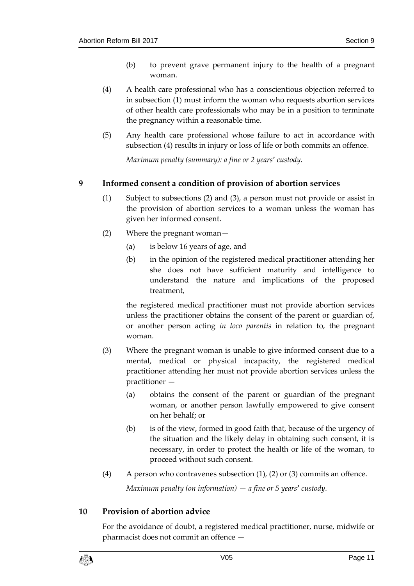- (b) to prevent grave permanent injury to the health of a pregnant woman.
- (4) A health care professional who has a conscientious objection referred to in subsection (1) must inform the woman who requests abortion services of other health care professionals who may be in a position to terminate the pregnancy within a reasonable time.
- (5) Any health care professional whose failure to act in accordance with subsection (4) results in injury or loss of life or both commits an offence.

*Maximum penalty (summary): a fine or 2 years' custody*.

#### <span id="page-10-0"></span>**9 Informed consent a condition of provision of abortion services**

- (1) Subject to subsections (2) and (3), a person must not provide or assist in the provision of abortion services to a woman unless the woman has given her informed consent.
- (2) Where the pregnant woman—
	- (a) is below 16 years of age, and
	- (b) in the opinion of the registered medical practitioner attending her she does not have sufficient maturity and intelligence to understand the nature and implications of the proposed treatment,

the registered medical practitioner must not provide abortion services unless the practitioner obtains the consent of the parent or guardian of, or another person acting *in loco parentis* in relation to, the pregnant woman.

- (3) Where the pregnant woman is unable to give informed consent due to a mental, medical or physical incapacity, the registered medical practitioner attending her must not provide abortion services unless the practitioner -
	- (a) obtains the consent of the parent or guardian of the pregnant woman, or another person lawfully empowered to give consent on her behalf; or
	- (b) is of the view, formed in good faith that, because of the urgency of the situation and the likely delay in obtaining such consent, it is necessary, in order to protect the health or life of the woman, to proceed without such consent.
- (4) A person who contravenes subsection  $(1)$ ,  $(2)$  or  $(3)$  commits an offence.

*Maximum penalty (on information) — a fine or 5 years' custody.*

#### <span id="page-10-1"></span>**10 Provision of abortion advice**

For the avoidance of doubt, a registered medical practitioner, nurse, midwife or pharmacist does not commit an offence —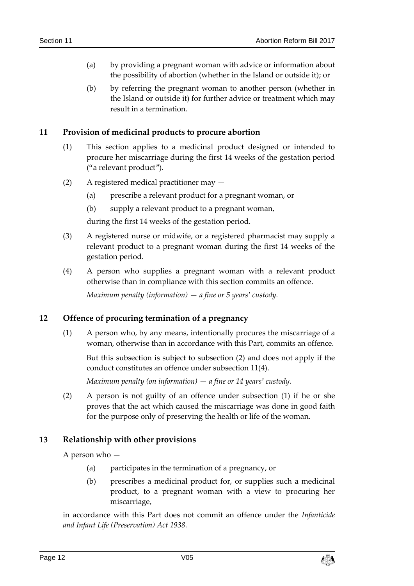- (a) by providing a pregnant woman with advice or information about the possibility of abortion (whether in the Island or outside it); or
- (b) by referring the pregnant woman to another person (whether in the Island or outside it) for further advice or treatment which may result in a termination.

#### <span id="page-11-0"></span>**11 Provision of medicinal products to procure abortion**

- (1) This section applies to a medicinal product designed or intended to procure her miscarriage during the first 14 weeks of the gestation period ("a relevant product").
- (2) A registered medical practitioner may
	- (a) prescribe a relevant product for a pregnant woman, or
	- (b) supply a relevant product to a pregnant woman,

during the first 14 weeks of the gestation period.

- (3) A registered nurse or midwife, or a registered pharmacist may supply a relevant product to a pregnant woman during the first 14 weeks of the gestation period.
- (4) A person who supplies a pregnant woman with a relevant product otherwise than in compliance with this section commits an offence. *Maximum penalty (information) — a fine or 5 years' custody.*

#### <span id="page-11-1"></span>**12 Offence of procuring termination of a pregnancy**

(1) A person who, by any means, intentionally procures the miscarriage of a woman, otherwise than in accordance with this Part, commits an offence.

But this subsection is subject to subsection (2) and does not apply if the conduct constitutes an offence under subsection 11(4).

*Maximum penalty (on information) — a fine or 14 years' custody.*

(2) A person is not guilty of an offence under subsection (1) if he or she proves that the act which caused the miscarriage was done in good faith for the purpose only of preserving the health or life of the woman.

#### <span id="page-11-2"></span>**13 Relationship with other provisions**

A person who —

- (a) participates in the termination of a pregnancy, or
- (b) prescribes a medicinal product for, or supplies such a medicinal product, to a pregnant woman with a view to procuring her miscarriage,

in accordance with this Part does not commit an offence under the *Infanticide and Infant Life (Preservation) Act 1938.*